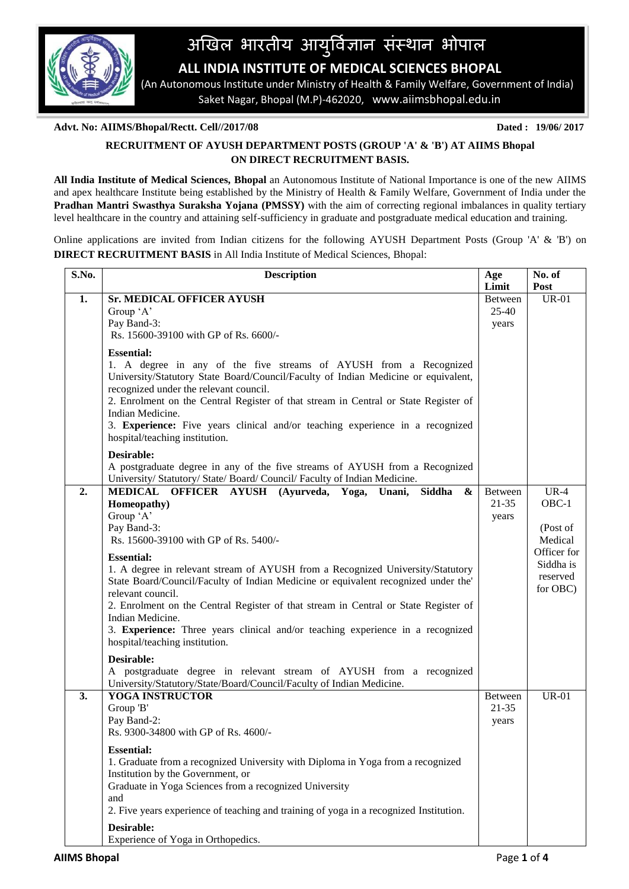

# अखिल भारतीय आयुर्विज्ञान संस्थान भोपाल

 **ALL INDIA INSTITUTE OF MEDICAL SCIENCES BHOPAL**

 (An Autonomous Institute under Ministry of Health & Family Welfare, Government of India) Saket Nagar, Bhopal (M.P)-462020, www.aiimsbhopal.edu.in

## **Advt. No: AIIMS/Bhopal/Rectt. Cell//2017/08 Dated : 19/06/ 2017**

# **RECRUITMENT OF AYUSH DEPARTMENT POSTS (GROUP 'A' & 'B') AT AIIMS Bhopal ON DIRECT RECRUITMENT BASIS.**

**All India Institute of Medical Sciences, Bhopal** an Autonomous Institute of National Importance is one of the new AIIMS and apex healthcare Institute being established by the Ministry of Health & Family Welfare, Government of India under the **Pradhan Mantri Swasthya Suraksha Yojana (PMSSY)** with the aim of correcting regional imbalances in quality tertiary level healthcare in the country and attaining self-sufficiency in graduate and postgraduate medical education and training.

Online applications are invited from Indian citizens for the following AYUSH Department Posts (Group 'A' & 'B') on **DIRECT RECRUITMENT BASIS** in All India Institute of Medical Sciences, Bhopal:

| S.No. | <b>Description</b>                                                                                                                                                                                                                                                                                                                                                                                                                                   | Age<br>Limit                         | No. of<br>Post                                                       |
|-------|------------------------------------------------------------------------------------------------------------------------------------------------------------------------------------------------------------------------------------------------------------------------------------------------------------------------------------------------------------------------------------------------------------------------------------------------------|--------------------------------------|----------------------------------------------------------------------|
| 1.    | Sr. MEDICAL OFFICER AYUSH<br>Group 'A'<br>Pay Band-3:<br>Rs. 15600-39100 with GP of Rs. 6600/-                                                                                                                                                                                                                                                                                                                                                       | <b>Between</b><br>$25 - 40$<br>years | <b>UR-01</b>                                                         |
|       | <b>Essential:</b><br>1. A degree in any of the five streams of AYUSH from a Recognized<br>University/Statutory State Board/Council/Faculty of Indian Medicine or equivalent,<br>recognized under the relevant council.<br>2. Enrolment on the Central Register of that stream in Central or State Register of<br>Indian Medicine.<br>3. Experience: Five years clinical and/or teaching experience in a recognized<br>hospital/teaching institution. |                                      |                                                                      |
|       | Desirable:<br>A postgraduate degree in any of the five streams of AYUSH from a Recognized<br>University/ Statutory/ State/ Board/ Council/ Faculty of Indian Medicine.                                                                                                                                                                                                                                                                               |                                      |                                                                      |
| 2.    | MEDICAL OFFICER AYUSH (Ayurveda, Yoga, Unani, Siddha<br>$\boldsymbol{\&}$<br>Homeopathy)<br>Group 'A'<br>Pay Band-3:<br>Rs. 15600-39100 with GP of Rs. 5400/-<br><b>Essential:</b>                                                                                                                                                                                                                                                                   | <b>Between</b><br>$21 - 35$<br>years | $UR-4$<br>$OBC-1$<br>(Post of<br>Medical<br>Officer for<br>Siddha is |
|       | 1. A degree in relevant stream of AYUSH from a Recognized University/Statutory<br>State Board/Council/Faculty of Indian Medicine or equivalent recognized under the'<br>relevant council.<br>2. Enrolment on the Central Register of that stream in Central or State Register of<br>Indian Medicine.<br>3. Experience: Three years clinical and/or teaching experience in a recognized<br>hospital/teaching institution.                             |                                      | reserved<br>for OBC)                                                 |
|       | Desirable:<br>A postgraduate degree in relevant stream of AYUSH from a recognized<br>University/Statutory/State/Board/Council/Faculty of Indian Medicine.                                                                                                                                                                                                                                                                                            |                                      |                                                                      |
| 3.    | YOGA INSTRUCTOR<br>Group 'B'<br>Pay Band-2:<br>Rs. 9300-34800 with GP of Rs. 4600/-                                                                                                                                                                                                                                                                                                                                                                  | Between<br>$21 - 35$<br>years        | <b>UR-01</b>                                                         |
|       | <b>Essential:</b><br>1. Graduate from a recognized University with Diploma in Yoga from a recognized<br>Institution by the Government, or<br>Graduate in Yoga Sciences from a recognized University<br>and<br>2. Five years experience of teaching and training of yoga in a recognized Institution.                                                                                                                                                 |                                      |                                                                      |
|       | Desirable:<br>Experience of Yoga in Orthopedics.                                                                                                                                                                                                                                                                                                                                                                                                     |                                      |                                                                      |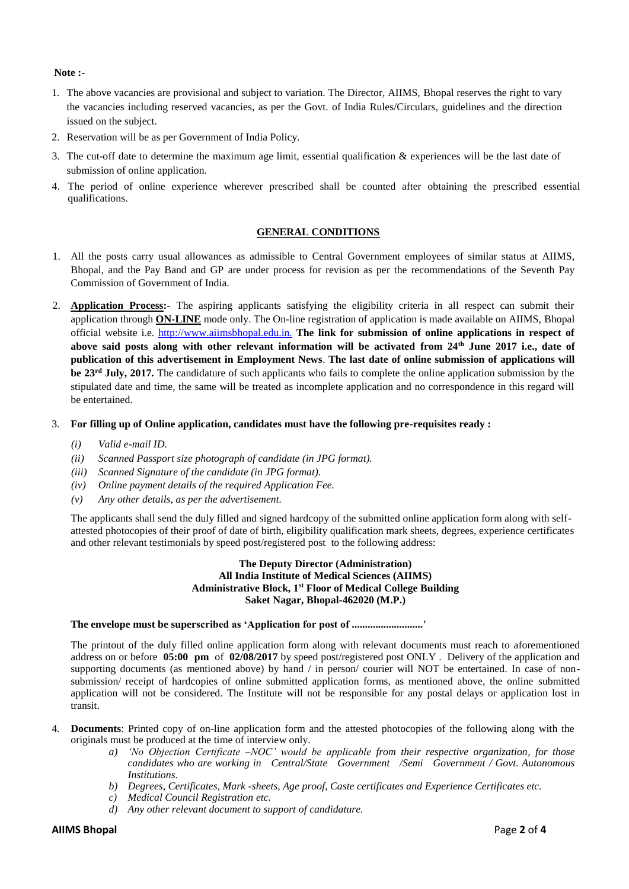#### **Note :-**

- 1. The above vacancies are provisional and subject to variation. The Director, AIIMS, Bhopal reserves the right to vary the vacancies including reserved vacancies, as per the Govt. of India Rules/Circulars, guidelines and the direction issued on the subject.
- 2. Reservation will be as per Government of India Policy.
- 3. The cut-off date to determine the maximum age limit, essential qualification  $\&$  experiences will be the last date of submission of online application.
- 4. The period of online experience wherever prescribed shall be counted after obtaining the prescribed essential qualifications.

### **GENERAL CONDITIONS**

- 1. All the posts carry usual allowances as admissible to Central Government employees of similar status at AIIMS, Bhopal, and the Pay Band and GP are under process for revision as per the recommendations of the Seventh Pay Commission of Government of India.
- 2. **Application Process:-** The aspiring applicants satisfying the eligibility criteria in all respect can submit their application through **ON-LINE** mode only. The On-line registration of application is made available on AIIMS, Bhopal official website i.e. http://www.aiimsbhopal.edu.in. **The link for submission of online applications in respect of above said posts along with other relevant information will be activated from 24th June 2017 i.e., date of publication of this advertisement in Employment News**. **The last date of online submission of applications will be 23 rd July, 2017.** The candidature of such applicants who fails to complete the online application submission by the stipulated date and time, the same will be treated as incomplete application and no correspondence in this regard will be entertained.
- 3. **For filling up of Online application, candidates must have the following pre-requisites ready :** 
	- *(i) Valid e-mail ID.*
	- *(ii) Scanned Passport size photograph of candidate (in JPG format).*
	- *(iii) Scanned Signature of the candidate (in JPG format).*
	- *(iv) Online payment details of the required Application Fee.*
	- *(v) Any other details, as per the advertisement.*

The applicants shall send the duly filled and signed hardcopy of the submitted online application form along with selfattested photocopies of their proof of date of birth, eligibility qualification mark sheets, degrees, experience certificates and other relevant testimonials by speed post/registered post to the following address:

#### **The Deputy Director (Administration) All India Institute of Medical Sciences (AIIMS) Administrative Block, 1st Floor of Medical College Building Saket Nagar, Bhopal-462020 (M.P.)**

#### **The envelope must be superscribed as 'Application for post of ...........................'**

The printout of the duly filled online application form along with relevant documents must reach to aforementioned address on or before **05:00 pm** of **02/08/2017** by speed post/registered post ONLY . Delivery of the application and supporting documents (as mentioned above) by hand / in person/ courier will NOT be entertained. In case of nonsubmission/ receipt of hardcopies of online submitted application forms, as mentioned above, the online submitted application will not be considered. The Institute will not be responsible for any postal delays or application lost in transit.

- 4. **Documents**: Printed copy of on-line application form and the attested photocopies of the following along with the originals must be produced at the time of interview only.
	- *a) 'No Objection Certificate –NOC' would be applicable from their respective organization, for those candidates who are working in Central/State Government /Semi Government / Govt. Autonomous Institutions.*
	- *b) Degrees, Certificates, Mark -sheets, Age proof, Caste certificates and Experience Certificates etc.*
	- *c) Medical Council Registration etc.*
	- *d) Any other relevant document to support of candidature.*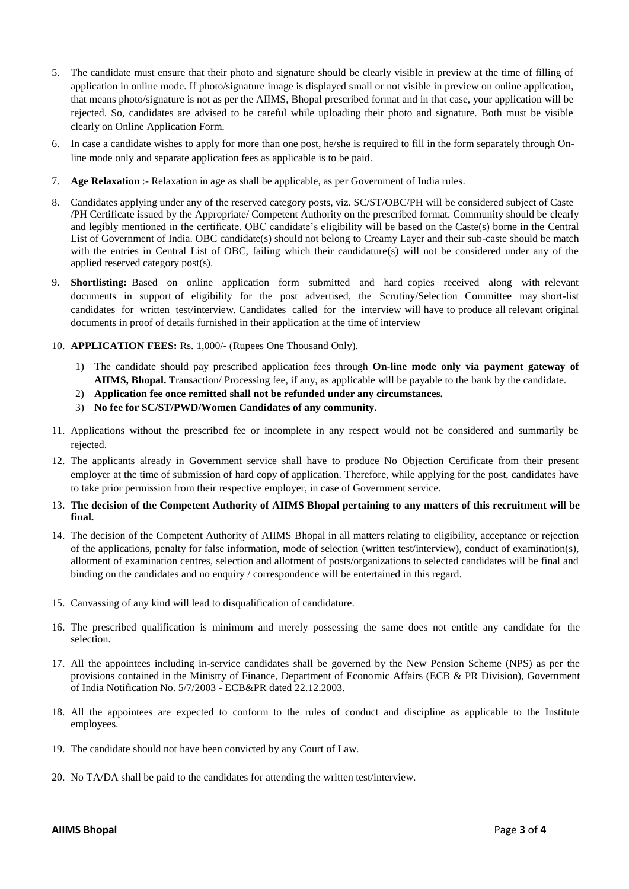- 5. The candidate must ensure that their photo and signature should be clearly visible in preview at the time of filling of application in online mode. If photo/signature image is displayed small or not visible in preview on online application, that means photo/signature is not as per the AIIMS, Bhopal prescribed format and in that case, your application will be rejected. So, candidates are advised to be careful while uploading their photo and signature. Both must be visible clearly on Online Application Form.
- 6. In case a candidate wishes to apply for more than one post, he/she is required to fill in the form separately through Online mode only and separate application fees as applicable is to be paid.
- 7. **Age Relaxation** :- Relaxation in age as shall be applicable, as per Government of India rules.
- 8. Candidates applying under any of the reserved category posts, viz. SC/ST/OBC/PH will be considered subject of Caste /PH Certificate issued by the Appropriate/ Competent Authority on the prescribed format. Community should be clearly and legibly mentioned in the certificate. OBC candidate's eligibility will be based on the Caste(s) borne in the Central List of Government of India. OBC candidate(s) should not belong to Creamy Layer and their sub-caste should be match with the entries in Central List of OBC, failing which their candidature(s) will not be considered under any of the applied reserved category post(s).
- 9. **Shortlisting:** Based on online application form submitted and hard copies received along with relevant documents in support of eligibility for the post advertised, the Scrutiny/Selection Committee may short-list candidates for written test/interview. Candidates called for the interview will have to produce all relevant original documents in proof of details furnished in their application at the time of interview
- 10. **APPLICATION FEES:** Rs. 1,000/- (Rupees One Thousand Only).
	- 1) The candidate should pay prescribed application fees through **On-line mode only via payment gateway of AIIMS, Bhopal.** Transaction/ Processing fee, if any, as applicable will be payable to the bank by the candidate.
	- 2) **Application fee once remitted shall not be refunded under any circumstances.**
	- 3) **No fee for SC/ST/PWD/Women Candidates of any community.**
- 11. Applications without the prescribed fee or incomplete in any respect would not be considered and summarily be rejected.
- 12. The applicants already in Government service shall have to produce No Objection Certificate from their present employer at the time of submission of hard copy of application. Therefore, while applying for the post, candidates have to take prior permission from their respective employer, in case of Government service.
- 13. **The decision of the Competent Authority of AIIMS Bhopal pertaining to any matters of this recruitment will be final.**
- 14. The decision of the Competent Authority of AIIMS Bhopal in all matters relating to eligibility, acceptance or rejection of the applications, penalty for false information, mode of selection (written test/interview), conduct of examination(s), allotment of examination centres, selection and allotment of posts/organizations to selected candidates will be final and binding on the candidates and no enquiry / correspondence will be entertained in this regard.
- 15. Canvassing of any kind will lead to disqualification of candidature.
- 16. The prescribed qualification is minimum and merely possessing the same does not entitle any candidate for the selection.
- 17. All the appointees including in-service candidates shall be governed by the New Pension Scheme (NPS) as per the provisions contained in the Ministry of Finance, Department of Economic Affairs (ECB & PR Division), Government of India Notification No. 5/7/2003 - ECB&PR dated 22.12.2003.
- 18. All the appointees are expected to conform to the rules of conduct and discipline as applicable to the Institute employees.
- 19. The candidate should not have been convicted by any Court of Law.
- 20. No TA/DA shall be paid to the candidates for attending the written test/interview.